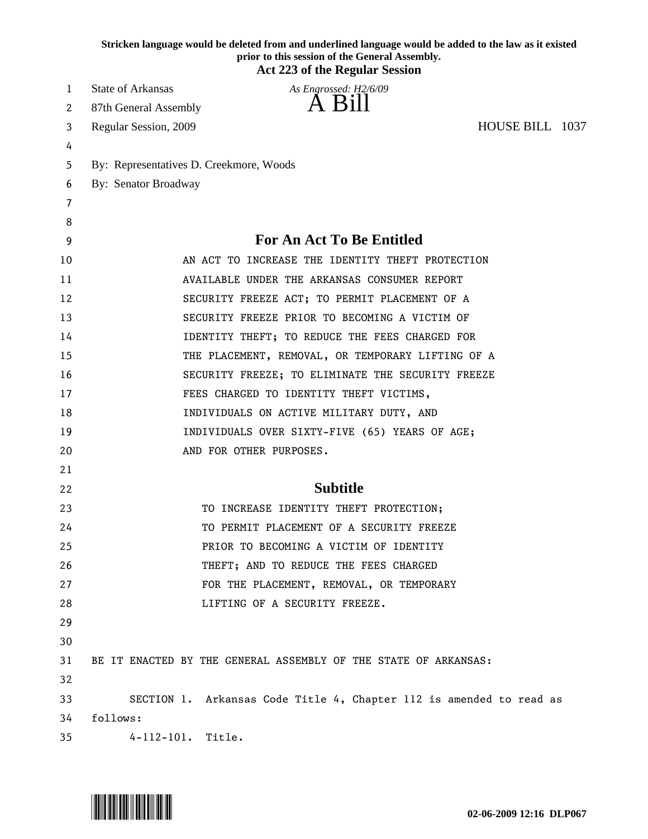|    |                          | Stricken language would be deleted from and underlined language would be added to the law as it existed<br>prior to this session of the General Assembly. |                 |  |
|----|--------------------------|-----------------------------------------------------------------------------------------------------------------------------------------------------------|-----------------|--|
|    |                          | <b>Act 223 of the Regular Session</b>                                                                                                                     |                 |  |
| 1  | <b>State of Arkansas</b> | As Engrossed: H2/6/09                                                                                                                                     |                 |  |
| 2  | 87th General Assembly    | A Bill                                                                                                                                                    |                 |  |
| 3  | Regular Session, 2009    |                                                                                                                                                           | HOUSE BILL 1037 |  |
| 4  |                          |                                                                                                                                                           |                 |  |
| 5  |                          | By: Representatives D. Creekmore, Woods                                                                                                                   |                 |  |
| 6  | By: Senator Broadway     |                                                                                                                                                           |                 |  |
| 7  |                          |                                                                                                                                                           |                 |  |
| 8  |                          |                                                                                                                                                           |                 |  |
| 9  |                          | <b>For An Act To Be Entitled</b>                                                                                                                          |                 |  |
| 10 |                          | AN ACT TO INCREASE THE IDENTITY THEFT PROTECTION                                                                                                          |                 |  |
| 11 |                          | AVAILABLE UNDER THE ARKANSAS CONSUMER REPORT                                                                                                              |                 |  |
| 12 |                          | SECURITY FREEZE ACT; TO PERMIT PLACEMENT OF A                                                                                                             |                 |  |
| 13 |                          | SECURITY FREEZE PRIOR TO BECOMING A VICTIM OF                                                                                                             |                 |  |
| 14 |                          | IDENTITY THEFT; TO REDUCE THE FEES CHARGED FOR                                                                                                            |                 |  |
| 15 |                          | THE PLACEMENT, REMOVAL, OR TEMPORARY LIFTING OF A                                                                                                         |                 |  |
| 16 |                          | SECURITY FREEZE; TO ELIMINATE THE SECURITY FREEZE                                                                                                         |                 |  |
| 17 |                          | FEES CHARGED TO IDENTITY THEFT VICTIMS,                                                                                                                   |                 |  |
| 18 |                          | INDIVIDUALS ON ACTIVE MILITARY DUTY, AND                                                                                                                  |                 |  |
| 19 |                          | INDIVIDUALS OVER SIXTY-FIVE (65) YEARS OF AGE;                                                                                                            |                 |  |
| 20 |                          | AND FOR OTHER PURPOSES.                                                                                                                                   |                 |  |
| 21 |                          |                                                                                                                                                           |                 |  |
| 22 |                          | <b>Subtitle</b>                                                                                                                                           |                 |  |
| 23 |                          | TO INCREASE IDENTITY THEFT PROTECTION;                                                                                                                    |                 |  |
| 24 |                          | TO PERMIT PLACEMENT OF A SECURITY FREEZE                                                                                                                  |                 |  |
| 25 |                          | PRIOR TO BECOMING A VICTIM OF IDENTITY                                                                                                                    |                 |  |
| 26 |                          | THEFT; AND TO REDUCE THE FEES CHARGED                                                                                                                     |                 |  |
| 27 |                          | FOR THE PLACEMENT, REMOVAL, OR TEMPORARY                                                                                                                  |                 |  |
| 28 |                          | LIFTING OF A SECURITY FREEZE.                                                                                                                             |                 |  |
| 29 |                          |                                                                                                                                                           |                 |  |
| 30 |                          |                                                                                                                                                           |                 |  |
| 31 |                          | BE IT ENACTED BY THE GENERAL ASSEMBLY OF THE STATE OF ARKANSAS:                                                                                           |                 |  |
| 32 |                          |                                                                                                                                                           |                 |  |
| 33 |                          | SECTION 1. Arkansas Code Title 4, Chapter 112 is amended to read as                                                                                       |                 |  |
| 34 | follows:                 |                                                                                                                                                           |                 |  |
| 35 | 4-112-101. Title.        |                                                                                                                                                           |                 |  |

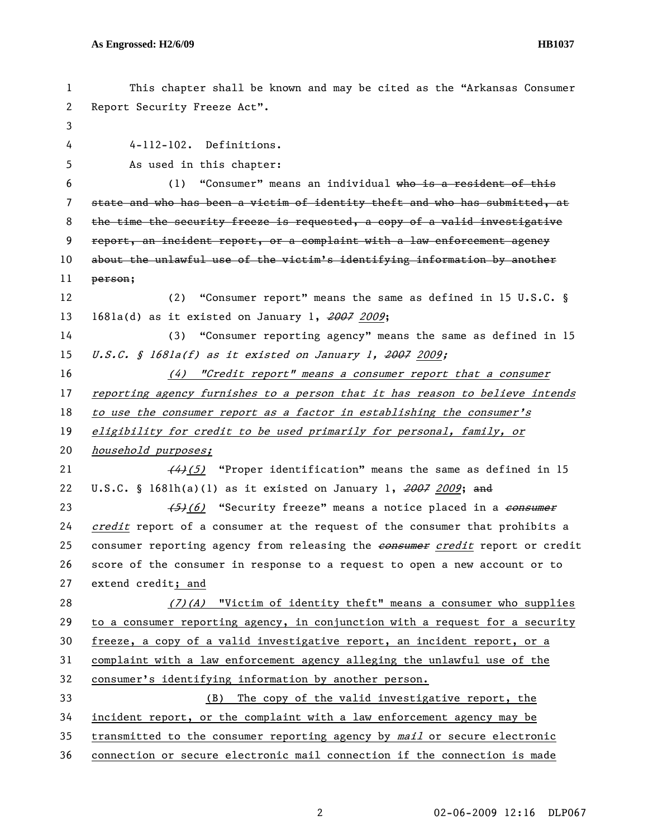| 1  | This chapter shall be known and may be cited as the "Arkansas Consumer        |
|----|-------------------------------------------------------------------------------|
| 2  | Report Security Freeze Act".                                                  |
| 3  |                                                                               |
| 4  | 4-112-102. Definitions.                                                       |
| 5  | As used in this chapter:                                                      |
| 6  | (1) "Consumer" means an individual who is a resident of this                  |
| 7  | state and who has been a victim of identity theft and who has submitted, at   |
| 8  | the time the security freeze is requested, a copy of a valid investigative    |
| 9  | report, an incident report, or a complaint with a law enforcement agency      |
| 10 | about the unlawful use of the victim's identifying information by another     |
| 11 | person;                                                                       |
| 12 | "Consumer report" means the same as defined in 15 U.S.C. §<br>(2)             |
| 13 | $1681a(d)$ as it existed on January 1, $2007$ 2009;                           |
| 14 | (3) "Consumer reporting agency" means the same as defined in 15               |
| 15 | U.S.C. § 1681a(f) as it existed on January 1, 2007 2009;                      |
| 16 | $(4)$ "Credit report" means a consumer report that a consumer                 |
| 17 | reporting agency furnishes to a person that it has reason to believe intends  |
| 18 | to use the consumer report as a factor in establishing the consumer's         |
| 19 | eligibility for credit to be used primarily for personal, family, or          |
| 20 | household purposes;                                                           |
| 21 | $(4)$ (5) "Proper identification" means the same as defined in 15             |
| 22 | U.S.C. § 1681h(a)(1) as it existed on January 1, $2007$ 2009; and             |
| 23 | (5)(6) "Security freeze" means a notice placed in a consumer                  |
| 24 | credit report of a consumer at the request of the consumer that prohibits a   |
| 25 | consumer reporting agency from releasing the consumer credit report or credit |
| 26 | score of the consumer in response to a request to open a new account or to    |
| 27 | extend credit; and                                                            |
| 28 | $(7)(A)$ "Victim of identity theft" means a consumer who supplies             |
| 29 | to a consumer reporting agency, in conjunction with a request for a security  |
| 30 | freeze, a copy of a valid investigative report, an incident report, or a      |
| 31 | complaint with a law enforcement agency alleging the unlawful use of the      |
| 32 | consumer's identifying information by another person.                         |
| 33 | The copy of the valid investigative report, the<br>(B)                        |
| 34 | incident report, or the complaint with a law enforcement agency may be        |
| 35 | transmitted to the consumer reporting agency by mail or secure electronic     |
| 36 | connection or secure electronic mail connection if the connection is made     |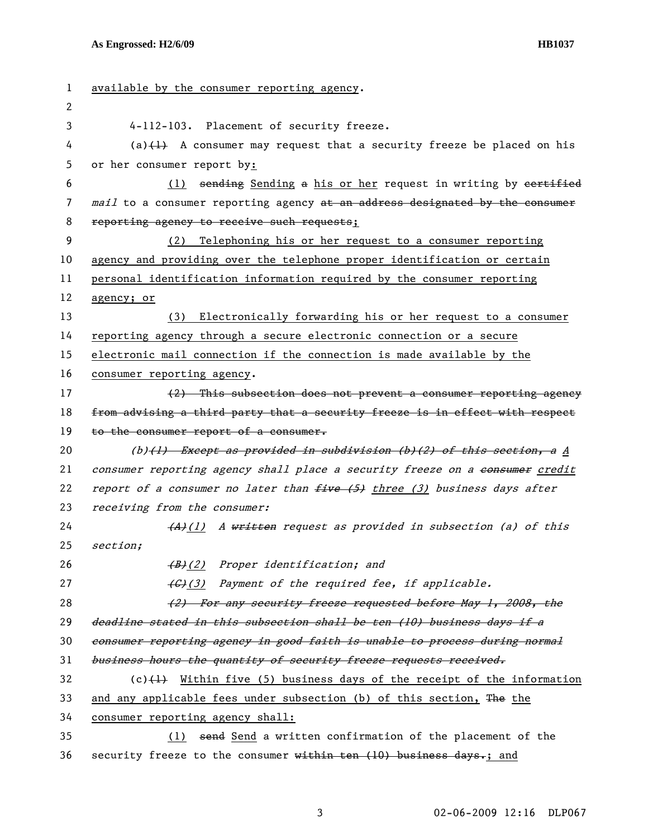| 1  | available by the consumer reporting agency.                                   |
|----|-------------------------------------------------------------------------------|
| 2  |                                                                               |
| 3  | 4-112-103. Placement of security freeze.                                      |
| 4  | (a) $\{\pm\}$ A consumer may request that a security freeze be placed on his  |
| 5  | or her consumer report by:                                                    |
| 6  | (1) sending Sending a his or her request in writing by eertified              |
| 7  | mail to a consumer reporting agency at an address designated by the consumer  |
| 8  | reporting agency to receive such requests;                                    |
| 9  | Telephoning his or her request to a consumer reporting<br>(2)                 |
| 10 | agency and providing over the telephone proper identification or certain      |
| 11 | personal identification information required by the consumer reporting        |
| 12 | agency; or                                                                    |
| 13 | (3) Electronically forwarding his or her request to a consumer                |
| 14 | reporting agency through a secure electronic connection or a secure           |
| 15 | electronic mail connection if the connection is made available by the         |
| 16 | consumer reporting agency.                                                    |
| 17 | (2) This subsection does not prevent a consumer reporting agency              |
| 18 | from advising a third party that a security freeze is in effect with respect  |
| 19 | to the consumer report of a consumer.                                         |
| 20 | $(b)$ (1) Except as provided in subdivision (b)(2) of this section, a A       |
| 21 | consumer reporting agency shall place a security freeze on a consumer credit  |
| 22 | report of a consumer no later than $f$ ive (5) three (3) business days after  |
| 23 | receiving from the consumer:                                                  |
| 24 | (A)(1) A written request as provided in subsection (a) of this                |
| 25 | section;                                                                      |
| 26 | (B)(2) Proper identification; and                                             |
| 27 | (G)(3) Payment of the required fee, if applicable.                            |
| 28 | (2) For any security freeze requested before May 1, 2008, the                 |
| 29 | deadline stated in this subsection shall be ten (10) business days if a       |
| 30 | consumer reporting agency in good faith is unable to process during normal    |
| 31 | business hours the quantity of security freeze requests received.             |
| 32 | (c) $\{\pm\}$ Within five (5) business days of the receipt of the information |
| 33 | and any applicable fees under subsection (b) of this section, The the         |
| 34 | consumer reporting agency shall:                                              |
| 35 | (1) send Send a written confirmation of the placement of the                  |
| 36 | security freeze to the consumer within ten (10) business days.; and           |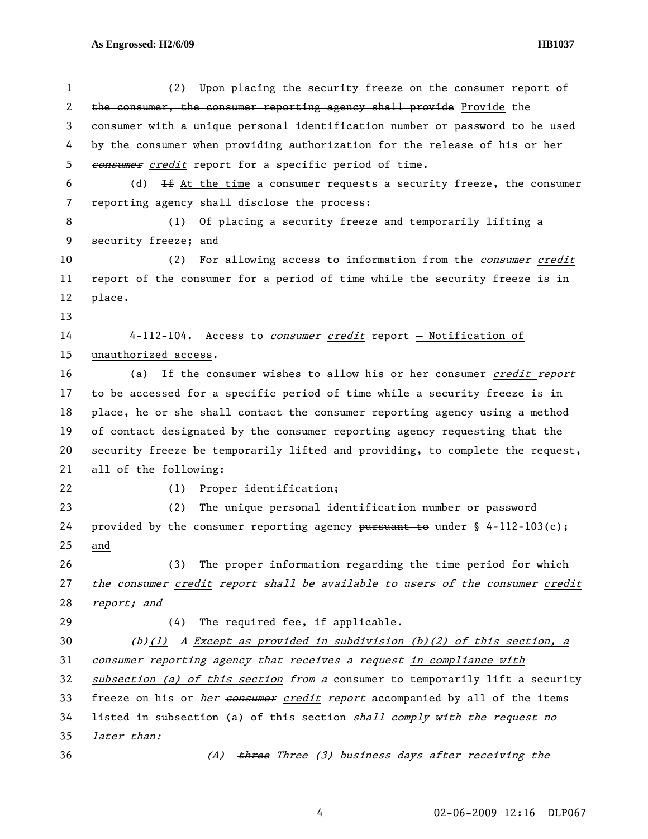## **As Engrossed: H2/6/09 HB1037**

| 1                     | (2)<br>Upon placing the security freeze on the consumer report of                  |
|-----------------------|------------------------------------------------------------------------------------|
| $\mathbf{2}^{\prime}$ | the consumer, the consumer reporting agency shall provide Provide the              |
| 3                     | consumer with a unique personal identification number or password to be used       |
| 4                     | by the consumer when providing authorization for the release of his or her         |
| 5                     | consumer credit report for a specific period of time.                              |
| 6                     | $H$ At the time a consumer requests a security freeze, the consumer<br>(d)         |
| 7                     | reporting agency shall disclose the process:                                       |
| 8                     | Of placing a security freeze and temporarily lifting a<br>(1)                      |
| 9                     | security freeze; and                                                               |
| 10                    | For allowing access to information from the consumer credit<br>(2)                 |
| 11                    | report of the consumer for a period of time while the security freeze is in        |
| 12                    | place.                                                                             |
| 13                    |                                                                                    |
| 14                    | 4-112-104. Access to <i>consumer credit</i> report - Notification of               |
| 15                    | unauthorized access.                                                               |
| 16                    | If the consumer wishes to allow his or her consumer credit report<br>(a)           |
| 17                    | to be accessed for a specific period of time while a security freeze is in         |
| 18                    | place, he or she shall contact the consumer reporting agency using a method        |
| 19                    | of contact designated by the consumer reporting agency requesting that the         |
| 20                    | security freeze be temporarily lifted and providing, to complete the request,      |
| 21                    | all of the following:                                                              |
| 22                    | Proper identification;<br>(1)                                                      |
| 23                    | (2)<br>The unique personal identification number or password                       |
| 24                    | provided by the consumer reporting agency pursuant to under $\S$ 4-112-103(c);     |
| 25                    | and                                                                                |
| 26                    | The proper information regarding the time period for which<br>(3)                  |
| 27                    | the consumer credit report shall be available to users of the consumer credit      |
| 28                    | report <del>; and</del>                                                            |
| 29                    | (4) The required fee, if applicable.                                               |
| 30                    | (b)(1) A Except as provided in subdivision (b)(2) of this section, a               |
| 31                    | consumer reporting agency that receives a request in compliance with               |
| 32                    | subsection (a) of this section from a consumer to temporarily lift a security      |
| 33                    | freeze on his or <i>her consumer credit report</i> accompanied by all of the items |
| 34                    | listed in subsection (a) of this section shall comply with the request no          |
| 35                    | later than:                                                                        |
| 36                    | (A) three Three (3) business days after receiving the                              |

4 02-06-2009 12:16 DLP067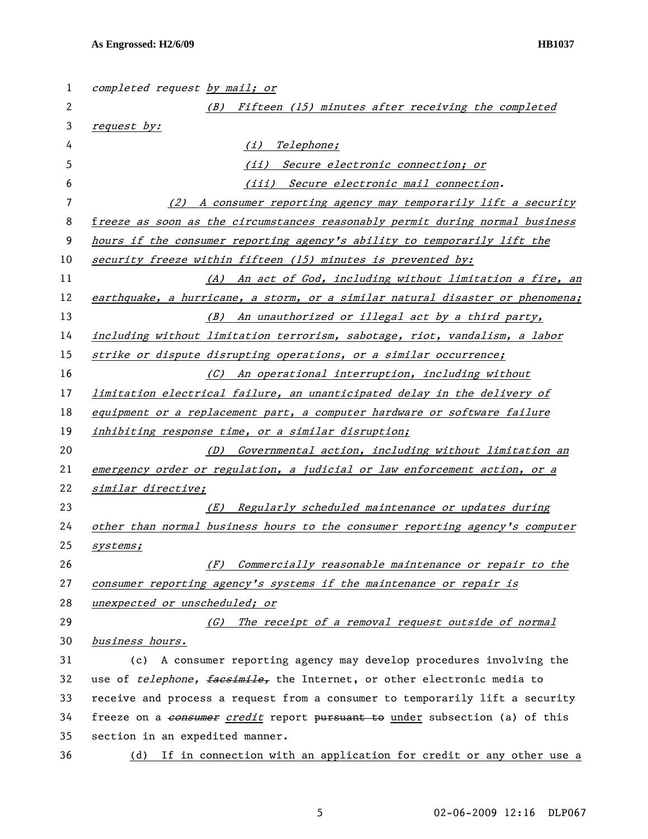| $\mathbf{1}$ | completed request by mail; or                                                   |
|--------------|---------------------------------------------------------------------------------|
| $\mathbf{2}$ | (B) Fifteen (15) minutes after receiving the completed                          |
| 3            | request by:                                                                     |
| 4            | Telephone;<br>(i)                                                               |
| 5            | (ii) Secure electronic connection; or                                           |
| 6            | (iii) Secure electronic mail connection.                                        |
| 7            | (2) A consumer reporting agency may temporarily lift a security                 |
| 8            | freeze as soon as the circumstances reasonably permit during normal business    |
| 9            | hours if the consumer reporting agency's ability to temporarily lift the        |
| 10           | security freeze within fifteen (15) minutes is prevented by:                    |
| 11           | (A) An act of God, including without limitation a fire, an                      |
| 12           | earthquake, a hurricane, a storm, or a similar natural disaster or phenomena;   |
| 13           | (B) An unauthorized or illegal act by a third party,                            |
| 14           | including without limitation terrorism, sabotage, riot, vandalism, a labor      |
| 15           | strike or dispute disrupting operations, or a similar occurrence;               |
| 16           | (C) An operational interruption, including without                              |
| 17           | limitation electrical failure, an unanticipated delay in the delivery of        |
| 18           | equipment or a replacement part, a computer hardware or software failure        |
| 19           | inhibiting response time, or a similar disruption;                              |
| 20           | Governmental action, including without limitation an<br>(D)                     |
| 21           | emergency order or regulation, a judicial or law enforcement action, or a       |
| 22           | similar directive;                                                              |
| 23           | Regularly scheduled maintenance or updates during<br>(E)                        |
| 24           | other than normal business hours to the consumer reporting agency's computer    |
| 25           | <i>systems;</i>                                                                 |
| 26           | Commercially reasonable maintenance or repair to the<br>(F)                     |
| 27           | consumer reporting agency's systems if the maintenance or repair is             |
| 28           | unexpected or unscheduled; or                                                   |
| 29           | The receipt of a removal request outside of normal<br>(G)                       |
| 30           | business hours.                                                                 |
| 31           | A consumer reporting agency may develop procedures involving the<br>(c)         |
| 32           | use of <i>telephone, faesimile</i> , the Internet, or other electronic media to |
| 33           | receive and process a request from a consumer to temporarily lift a security    |
| 34           | freeze on a consumer credit report pursuant to under subsection (a) of this     |
| 35           | section in an expedited manner.                                                 |
| 36           | (d) If in connection with an application for credit or any other use a          |

5 02-06-2009 12:16 DLP067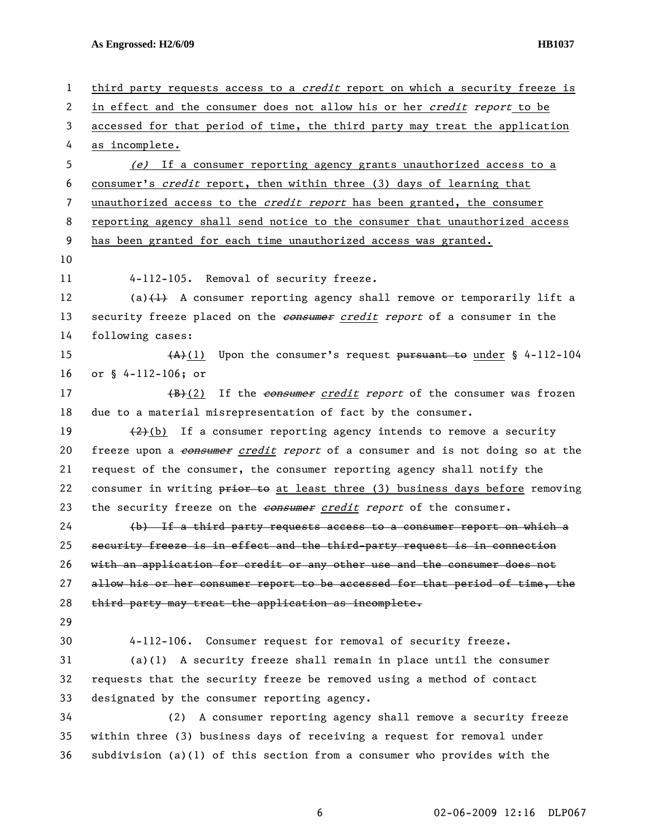**As Engrossed: H2/6/09 HB1037** 

| $\mathbf{1}$ | third party requests access to a <i>credit</i> report on which a security freeze is |
|--------------|-------------------------------------------------------------------------------------|
| 2            | in effect and the consumer does not allow his or her credit report to be            |
| 3            | accessed for that period of time, the third party may treat the application         |
| 4            | as incomplete.                                                                      |
| 5            | (e) If a consumer reporting agency grants unauthorized access to a                  |
| 6            | consumer's credit report, then within three (3) days of learning that               |
| 7            | unauthorized access to the credit report has been granted, the consumer             |
| 8            | reporting agency shall send notice to the consumer that unauthorized access         |
| 9            | has been granted for each time unauthorized access was granted.                     |
| 10           |                                                                                     |
| 11           | 4-112-105. Removal of security freeze.                                              |
| 12           | (a) $\{\pm\}$ A consumer reporting agency shall remove or temporarily lift a        |
| 13           | security freeze placed on the <i>consumer credit report</i> of a consumer in the    |
| 14           | following cases:                                                                    |
| 15           | $(A)$ (1) Upon the consumer's request pursuant to under § 4-112-104                 |
| 16           | or § 4-112-106; or                                                                  |
| 17           | (B)(2) If the <i>consumer credit report</i> of the consumer was frozen              |
| 18           | due to a material misrepresentation of fact by the consumer.                        |
| 19           | $(2)$ (b) If a consumer reporting agency intends to remove a security               |
| 20           | freeze upon a consumer credit report of a consumer and is not doing so at the       |
| 21           | request of the consumer, the consumer reporting agency shall notify the             |
| 22           | consumer in writing prior to at least three (3) business days before removing       |
| 23           | the security freeze on the consumer credit report of the consumer.                  |
| 24           | (b) If a third party requests access to a consumer report on which a                |
| 25           | security freeze is in effect and the third-party request is in connection           |
| 26           | with an application for credit or any other use and the consumer does not           |
| 27           | allow his or her consumer report to be accessed for that period of time, the        |
| 28           | third party may treat the application as incomplete.                                |
| 29           |                                                                                     |
| 30           | 4-112-106. Consumer request for removal of security freeze.                         |
| 31           | $(a)(1)$ A security freeze shall remain in place until the consumer                 |
| 32           | requests that the security freeze be removed using a method of contact              |
| 33           | designated by the consumer reporting agency.                                        |
| 34           | A consumer reporting agency shall remove a security freeze<br>(2)                   |
| 35           | within three (3) business days of receiving a request for removal under             |
| 36           | subdivision (a)(1) of this section from a consumer who provides with the            |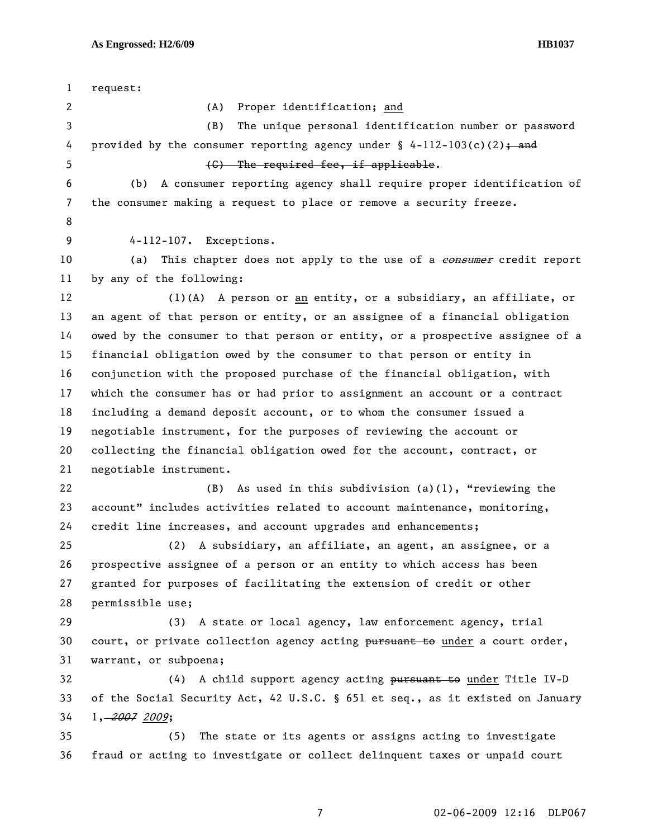1 request: 2 (A) Proper identification; and 3 (B) The unique personal identification number or password 4 provided by the consumer reporting agency under  $\S$  4-112-103(c)(2); and 5 (C) The required fee, if applicable. 6 (b) A consumer reporting agency shall require proper identification of 7 the consumer making a request to place or remove a security freeze. 8 9 4-112-107. Exceptions. 10 (a) This chapter does not apply to the use of a consumer credit report 11 by any of the following: 12 (1)(A) A person or an entity, or a subsidiary, an affiliate, or 13 an agent of that person or entity, or an assignee of a financial obligation 14 owed by the consumer to that person or entity, or a prospective assignee of a 15 financial obligation owed by the consumer to that person or entity in 16 conjunction with the proposed purchase of the financial obligation, with 17 which the consumer has or had prior to assignment an account or a contract 18 including a demand deposit account, or to whom the consumer issued a 19 negotiable instrument, for the purposes of reviewing the account or 20 collecting the financial obligation owed for the account, contract, or 21 negotiable instrument. 22 (B) As used in this subdivision (a)(1), "reviewing the 23 account" includes activities related to account maintenance, monitoring, 24 credit line increases, and account upgrades and enhancements; 25 (2) A subsidiary, an affiliate, an agent, an assignee, or a 26 prospective assignee of a person or an entity to which access has been 27 granted for purposes of facilitating the extension of credit or other 28 permissible use; 29 (3) A state or local agency, law enforcement agency, trial 30 court, or private collection agency acting pursuant to under a court order, 31 warrant, or subpoena; 32 (4) A child support agency acting pursuant to under Title IV-D 33 of the Social Security Act, 42 U.S.C. § 651 et seq., as it existed on January 34 1, 2007 2009; 35 (5) The state or its agents or assigns acting to investigate 36 fraud or acting to investigate or collect delinquent taxes or unpaid court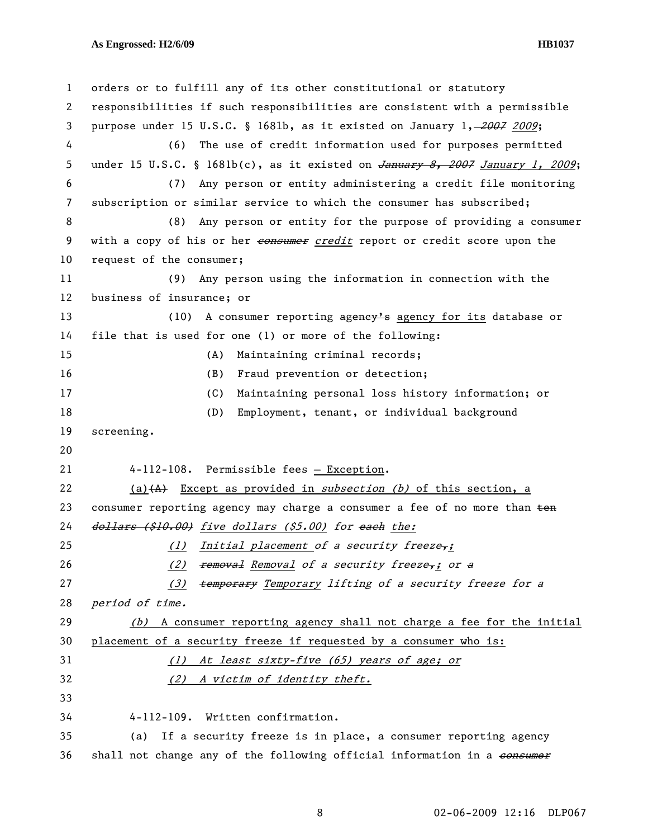## **As Engrossed: H2/6/09 HB1037**

| $\mathbf{1}$ | orders or to fulfill any of its other constitutional or statutory                          |
|--------------|--------------------------------------------------------------------------------------------|
| 2            | responsibilities if such responsibilities are consistent with a permissible                |
| 3            | purpose under 15 U.S.C. § 1681b, as it existed on January 1, -2007 2009;                   |
| 4            | (6)<br>The use of credit information used for purposes permitted                           |
| 5            | under 15 U.S.C. § 1681b(c), as it existed on $\overline{January 8, 2007}$ January 1, 2009; |
| 6            | Any person or entity administering a credit file monitoring<br>(7)                         |
| 7            | subscription or similar service to which the consumer has subscribed;                      |
| 8            | Any person or entity for the purpose of providing a consumer<br>(8)                        |
| 9            | with a copy of his or her <i>eonsumer credit</i> report or credit score upon the           |
| 10           | request of the consumer;                                                                   |
| 11           | Any person using the information in connection with the<br>(9)                             |
| 12           | business of insurance; or                                                                  |
| 13           | A consumer reporting agency's agency for its database or<br>(10)                           |
| 14           | file that is used for one (1) or more of the following:                                    |
| 15           | Maintaining criminal records;<br>(A)                                                       |
| 16           | Fraud prevention or detection;<br>(B)                                                      |
| 17           | Maintaining personal loss history information; or<br>(C)                                   |
| 18           | (D)<br>Employment, tenant, or individual background                                        |
| 19           | screening.                                                                                 |
| 20           |                                                                                            |
| 21           | 4-112-108. Permissible fees - Exception.                                                   |
| 22           | $(a)$ $(A)$ Except as provided in <i>subsection</i> (b) of this section, a                 |
| 23           | consumer reporting agency may charge a consumer a fee of no more than ten                  |
| 24           | dollars (\$10.00) five dollars (\$5.00) for each the:                                      |
| 25           | (1) Initial placement of a security freeze,;                                               |
| 26           | removal Removal of a security freeze, j or a<br>(2)                                        |
| 27           | temporary Temporary lifting of a security freeze for a<br>(3)                              |
| 28           | period of time.                                                                            |
| 29           | (b) A consumer reporting agency shall not charge a fee for the initial                     |
| 30           | placement of a security freeze if requested by a consumer who is:                          |
| 31           | (1) At least sixty-five (65) years of age; or                                              |
| 32           | (2) A victim of identity theft.                                                            |
| 33           |                                                                                            |
| 34           | Written confirmation.<br>$4 - 112 - 109$ .                                                 |
| 35           | If a security freeze is in place, a consumer reporting agency<br>(a)                       |
| 36           | shall not change any of the following official information in a consumer                   |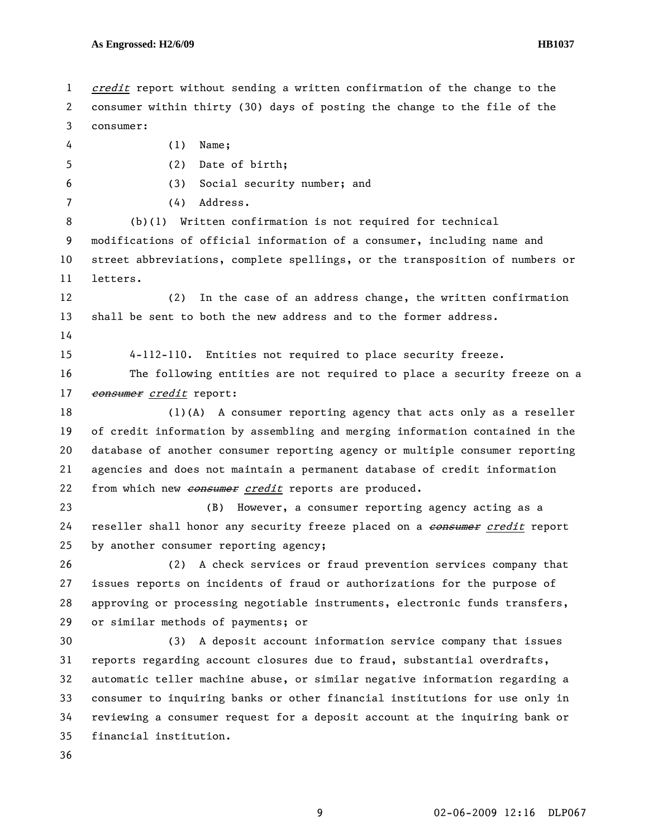1 credit report without sending a written confirmation of the change to the 2 consumer within thirty (30) days of posting the change to the file of the 3 consumer: 4 (1) Name; 5 (2) Date of birth; 6 (3) Social security number; and 7 (4) Address. 8 (b)(1) Written confirmation is not required for technical 9 modifications of official information of a consumer, including name and 10 street abbreviations, complete spellings, or the transposition of numbers or 11 letters. 12 (2) In the case of an address change, the written confirmation 13 shall be sent to both the new address and to the former address. 14 15 4-112-110. Entities not required to place security freeze. 16 The following entities are not required to place a security freeze on a 17 consumer credit report: 18 (1)(A) A consumer reporting agency that acts only as a reseller 19 of credit information by assembling and merging information contained in the 20 database of another consumer reporting agency or multiple consumer reporting 21 agencies and does not maintain a permanent database of credit information 22 from which new consumer credit reports are produced. 23 (B) However, a consumer reporting agency acting as a 24 reseller shall honor any security freeze placed on a consumer credit report 25 by another consumer reporting agency; 26 (2) A check services or fraud prevention services company that 27 issues reports on incidents of fraud or authorizations for the purpose of 28 approving or processing negotiable instruments, electronic funds transfers, 29 or similar methods of payments; or 30 (3) A deposit account information service company that issues 31 reports regarding account closures due to fraud, substantial overdrafts, 32 automatic teller machine abuse, or similar negative information regarding a 33 consumer to inquiring banks or other financial institutions for use only in 34 reviewing a consumer request for a deposit account at the inquiring bank or 35 financial institution. 36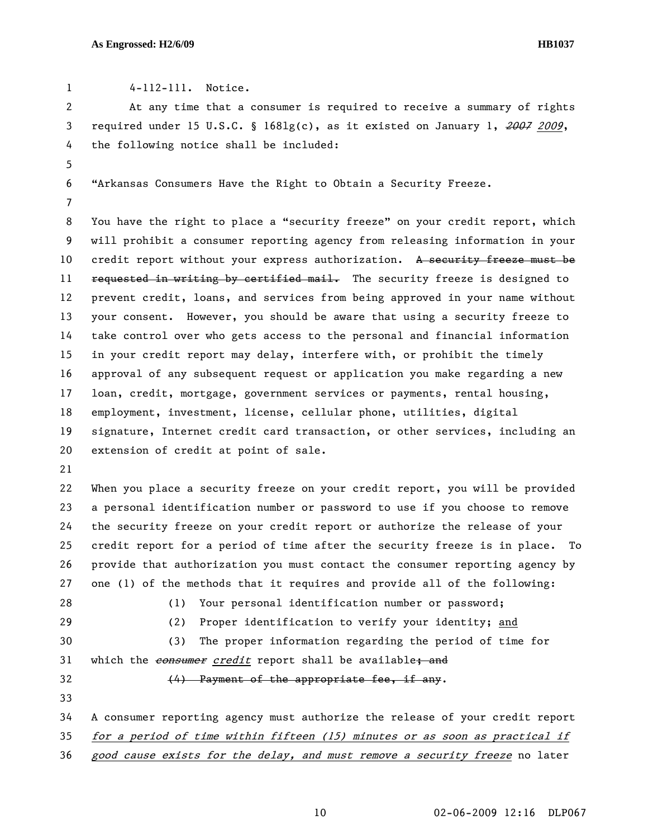1 4-112-111. Notice.

2 At any time that a consumer is required to receive a summary of rights 3 required under 15 U.S.C. § 1681g(c), as it existed on January 1, 2007 2009, 4 the following notice shall be included: 5 6 "Arkansas Consumers Have the Right to Obtain a Security Freeze. 7 8 You have the right to place a "security freeze" on your credit report, which 9 will prohibit a consumer reporting agency from releasing information in your 10 credit report without your express authorization. A security freeze must be 11 requested in writing by certified mail. The security freeze is designed to 12 prevent credit, loans, and services from being approved in your name without 13 your consent. However, you should be aware that using a security freeze to 14 take control over who gets access to the personal and financial information 15 in your credit report may delay, interfere with, or prohibit the timely 16 approval of any subsequent request or application you make regarding a new 17 loan, credit, mortgage, government services or payments, rental housing, 18 employment, investment, license, cellular phone, utilities, digital 19 signature, Internet credit card transaction, or other services, including an 20 extension of credit at point of sale. 21 22 When you place a security freeze on your credit report, you will be provided 23 a personal identification number or password to use if you choose to remove 24 the security freeze on your credit report or authorize the release of your 25 credit report for a period of time after the security freeze is in place. To 26 provide that authorization you must contact the consumer reporting agency by 27 one (1) of the methods that it requires and provide all of the following: 28 (1) Your personal identification number or password; 29 (2) Proper identification to verify your identity; and 30 (3) The proper information regarding the period of time for 31 which the consumer credit report shall be available; and  $32$   $(4)$  Payment of the appropriate fee, if any. 33 34 A consumer reporting agency must authorize the release of your credit report 35 for a period of time within fifteen (15) minutes or as soon as practical if 36 good cause exists for the delay, and must remove a security freeze no later

10 02-06-2009 12:16 DLP067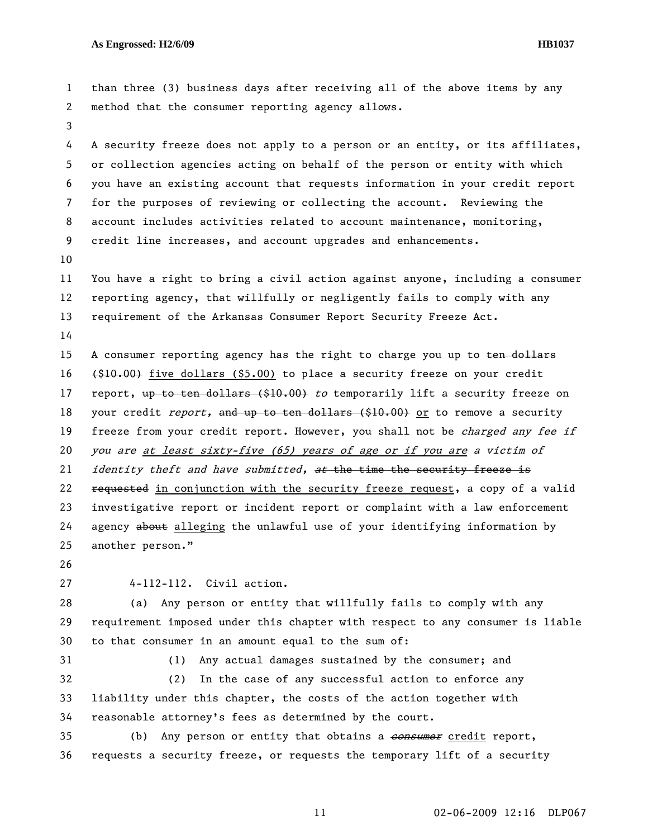1 than three (3) business days after receiving all of the above items by any 2 method that the consumer reporting agency allows. 3 4 A security freeze does not apply to a person or an entity, or its affiliates, 5 or collection agencies acting on behalf of the person or entity with which 6 you have an existing account that requests information in your credit report 7 for the purposes of reviewing or collecting the account. Reviewing the 8 account includes activities related to account maintenance, monitoring, 9 credit line increases, and account upgrades and enhancements. 10 11 You have a right to bring a civil action against anyone, including a consumer 12 reporting agency, that willfully or negligently fails to comply with any 13 requirement of the Arkansas Consumer Report Security Freeze Act. 14 15 A consumer reporting agency has the right to charge you up to ten dollars 16 (\$10.00) five dollars (\$5.00) to place a security freeze on your credit 17 report, up to ten dollars (\$10.00) to temporarily lift a security freeze on 18 your credit report, and up to ten dollars (\$10.00) or to remove a security 19 freeze from your credit report. However, you shall not be *charged any fee if* 20 you are at least sixty-five (65) years of age or if you are a victim of 21 *identity theft and have submitted, at the time the security freeze is* 22 requested in conjunction with the security freeze request, a copy of a valid 23 investigative report or incident report or complaint with a law enforcement 24 agency about alleging the unlawful use of your identifying information by 25 another person." 26 27 4-112-112. Civil action. 28 (a) Any person or entity that willfully fails to comply with any 29 requirement imposed under this chapter with respect to any consumer is liable 30 to that consumer in an amount equal to the sum of: 31 (1) Any actual damages sustained by the consumer; and 32 (2) In the case of any successful action to enforce any 33 liability under this chapter, the costs of the action together with 34 reasonable attorney's fees as determined by the court.

35 (b) Any person or entity that obtains a **consumer** credit report, 36 requests a security freeze, or requests the temporary lift of a security